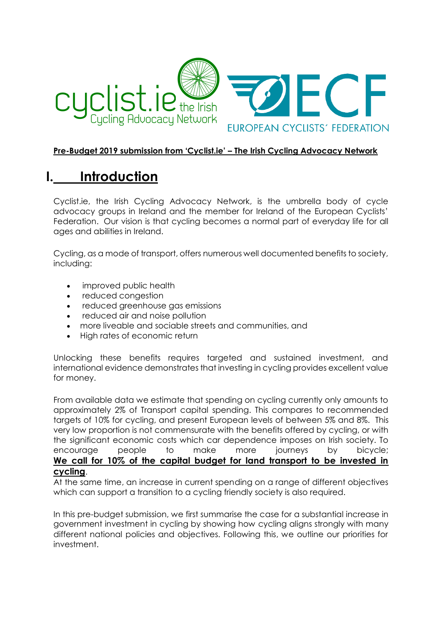

#### **Pre-Budget 2019 submission from 'Cyclist.ie' – The Irish Cycling Advocacy Network**

# **I. Introduction**

Cyclist.ie, the Irish Cycling Advocacy Network, is the umbrella body of cycle advocacy groups in Ireland and the member for Ireland of the European Cyclists' Federation. Our vision is that cycling becomes a normal part of everyday life for all ages and abilities in Ireland.

Cycling, as a mode of transport, offers numerous well documented benefits to society, including:

- improved public health
- reduced congestion
- reduced greenhouse gas emissions
- reduced air and noise pollution
- more liveable and sociable streets and communities, and
- High rates of economic return

Unlocking these benefits requires targeted and sustained investment, and international evidence demonstrates that investing in cycling provides excellent value for money.

From available data we estimate that spending on cycling currently only amounts to approximately 2% of Transport capital spending. This compares to recommended targets of 10% for cycling, and present European levels of between 5% and 8%. This very low proportion is not commensurate with the benefits offered by cycling, or with the significant economic costs which car dependence imposes on Irish society. To encourage people to make more journeys by bicycle; **We call for 10% of the capital budget for land transport to be invested in cycling**.

At the same time, an increase in current spending on a range of different objectives which can support a transition to a cycling friendly society is also required.

In this pre-budget submission, we first summarise the case for a substantial increase in government investment in cycling by showing how cycling aligns strongly with many different national policies and objectives. Following this, we outline our priorities for investment.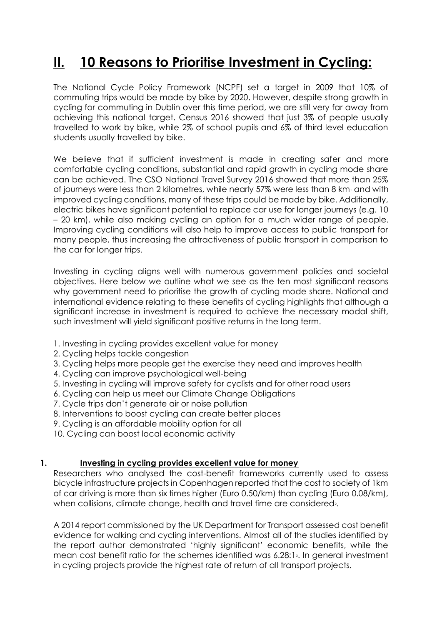# **II. 10 Reasons to Prioritise Investment in Cycling:**

The National Cycle Policy Framework (NCPF) set a target in 2009 that 10% of commuting trips would be made by bike by 2020. However, despite strong growth in cycling for commuting in Dublin over this time period, we are still very far away from achieving this national target. Census 2016 showed that just 3% of people usually travelled to work by bike, while 2% of school pupils and 6% of third level education students usually travelled by bike.

We believe that if sufficient investment is made in creating safer and more comfortable cycling conditions, substantial and rapid growth in cycling mode share can be achieved. The CSO National Travel Survey 2016 showed that more than 25% of journeys were less than 2 kilometres, while nearly 57% were less than 8 km $\cdot$  and with improved cycling conditions, many of these trips could be made by bike. Additionally, electric bikes have significant potential to replace car use for longer journeys (e.g. 10 – 20 km), while also making cycling an option for a much wider range of people. Improving cycling conditions will also help to improve access to public transport for many people, thus increasing the attractiveness of public transport in comparison to the car for longer trips.

Investing in cycling aligns well with numerous government policies and societal objectives. Here below we outline what we see as the ten most significant reasons why government need to prioritise the growth of cycling mode share. National and international evidence relating to these benefits of cycling highlights that although a significant increase in investment is required to achieve the necessary modal shift, such investment will yield significant positive returns in the long term.

- 1. Investing in cycling provides excellent value for money
- 2. Cycling helps tackle congestion
- 3. Cycling helps more people get the exercise they need and improves health
- 4. Cycling can improve psychological well-being
- 5. Investing in cycling will improve safety for cyclists and for other road users
- 6. Cycling can help us meet our Climate Change Obligations
- 7. Cycle trips don't generate air or noise pollution
- 8. Interventions to boost cycling can create better places
- 9. Cycling is an affordable mobility option for all
- 10. Cycling can boost local economic activity

#### **1. Investing in cycling provides excellent value for money**

Researchers who analysed the cost-benefit frameworks currently used to assess bicycle infrastructure projects in Copenhagen reported that the cost to society of 1km of car driving is more than six times higher (Euro 0.50/km) than cycling (Euro 0.08/km), when collisions, climate change, health and travel time are considered.

A 2014 report commissioned by the UK Department for Transport assessed cost benefit evidence for walking and cycling interventions. Almost all of the studies identified by the report author demonstrated 'highly significant' economic benefits, while the mean cost benefit ratio for the schemes identified was 6.28:13. In general investment in cycling projects provide the highest rate of return of all transport projects.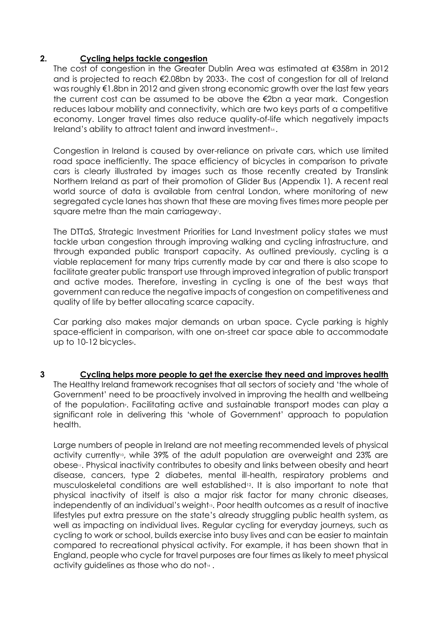#### **2. Cycling helps tackle congestion**

The cost of congestion in the Greater Dublin Area was estimated at €358m in 2012 and is projected to reach €2.08bn by 20334. The cost of congestion for all of Ireland was roughly €1.8bn in 2012 and given strong economic growth over the last few years the current cost can be assumed to be above the €2bn a year mark. Congestion reduces labour mobility and connectivity, which are two keys parts of a competitive economy. Longer travel times also reduce quality-of-life which negatively impacts Ireland's ability to attract talent and inward investmentss.

Congestion in Ireland is caused by over-reliance on private cars, which use limited road space inefficiently. The space efficiency of bicycles in comparison to private cars is clearly illustrated by images such as those recently created by Translink Northern Ireland as part of their promotion of Glider Bus (Appendix 1). A recent real world source of data is available from central London, where monitoring of new segregated cycle lanes has shown that these are moving fives times more people per square metre than the main carriageway.

The DTTaS, Strategic Investment Priorities for Land Investment policy states we must tackle urban congestion through improving walking and cycling infrastructure, and through expanded public transport capacity. As outlined previously, cycling is a viable replacement for many trips currently made by car and there is also scope to facilitate greater public transport use through improved integration of public transport and active modes. Therefore, investing in cycling is one of the best ways that government can reduce the negative impacts of congestion on competitiveness and quality of life by better allocating scarce capacity.

Car parking also makes major demands on urban space. Cycle parking is highly space-efficient in comparison, with one on-street car space able to accommodate up to  $10-12$  bicycles $s$ .

**3 Cycling helps more people to get the exercise they need and improves health** The Healthy Ireland framework recognises that all sectors of society and 'the whole of Government' need to be proactively involved in improving the health and wellbeing of the population<sup>9</sup>. Facilitating active and sustainable transport modes can play a significant role in delivering this 'whole of Government' approach to population health.

Large numbers of people in Ireland are not meeting recommended levels of physical activity currently<sup>10</sup>, while 39% of the adult population are overweight and 23% are obese11. Physical inactivity contributes to obesity and links between obesity and heart disease, cancers, type 2 diabetes, mental ill-health, respiratory problems and musculoskeletal conditions are well established12. It is also important to note that physical inactivity of itself is also a major risk factor for many chronic diseases, independently of an individual's weight<sup>3</sup>. Poor health outcomes as a result of inactive lifestyles put extra pressure on the state's already struggling public health system, as well as impacting on individual lives. Regular cycling for everyday journeys, such as cycling to work or school, builds exercise into busy lives and can be easier to maintain compared to recreational physical activity. For example, it has been shown that in England, people who cycle for travel purposes are four times as likely to meet physical activity quidelines as those who do not $44$ .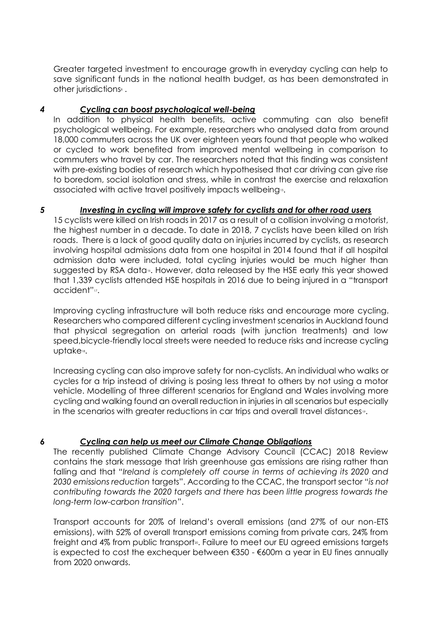Greater targeted investment to encourage growth in everyday cycling can help to save significant funds in the national health budget, as has been demonstrated in other jurisdictions<sup>8</sup>.

#### *4 Cycling can boost psychological well-being*

In addition to physical health benefits, active commuting can also benefit psychological wellbeing. For example, researchers who analysed data from around 18,000 commuters across the UK over eighteen years found that people who walked or cycled to work benefited from improved mental wellbeing in comparison to commuters who travel by car. The researchers noted that this finding was consistent with pre-existing bodies of research which hypothesised that car driving can give rise to boredom, social isolation and stress, while in contrast the exercise and relaxation associated with active travel positively impacts wellbeing<sup>15</sup>.

#### *5 Investing in cycling will improve safety for cyclists and for other road users*

15 cyclists were killed on Irish roads in 2017 as a result of a collision involving a motorist, the highest number in a decade. To date in 2018, 7 cyclists have been killed on Irish roads. There is a lack of good quality data on injuries incurred by cyclists, as research involving hospital admissions data from one hospital in 2014 found that if all hospital admission data were included, total cycling injuries would be much higher than suggested by RSA data<sup>®</sup>. However, data released by the HSE early this year showed that 1,339 cyclists attended HSE hospitals in 2016 due to being injured in a "transport accident"<sup>17</sup>.

Improving cycling infrastructure will both reduce risks and encourage more cycling. Researchers who compared different cycling investment scenarios in Auckland found that physical segregation on arterial roads (with junction treatments) and low speed,bicycle-friendly local streets were needed to reduce risks and increase cycling uptake18.

Increasing cycling can also improve safety for non-cyclists. An individual who walks or cycles for a trip instead of driving is posing less threat to others by not using a motor vehicle. Modelling of three different scenarios for England and Wales involving more cycling and walking found an overall reduction in injuries in all scenarios but especially in the scenarios with greater reductions in car trips and overall travel distances».

## *6 Cycling can help us meet our Climate Change Obligations*

The recently published Climate Change Advisory Council (CCAC) 2018 Review contains the stark message that Irish greenhouse gas emissions are rising rather than falling and that "*Ireland is completely off course in terms of achieving its 2020 and 2030 emissions reduction* targets". According to the CCAC, the transport sector "*is not contributing towards the 2020 targets and there has been little progress towards the long-term low-carbon transition*".

Transport accounts for 20% of Ireland's overall emissions (and 27% of our non-ETS emissions), with 52% of overall transport emissions coming from private cars, 24% from freight and 4% from public transport». Failure to meet our EU agreed emissions targets is expected to cost the exchequer between  $€350 - €600m$  a year in EU fines annually from 2020 onwards.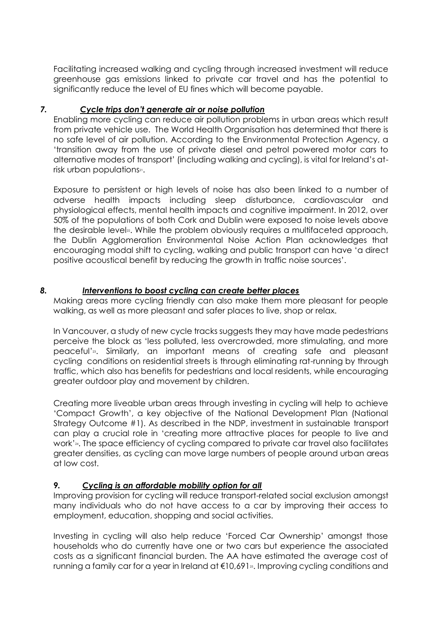Facilitating increased walking and cycling through increased investment will reduce greenhouse gas emissions linked to private car travel and has the potential to significantly reduce the level of EU fines which will become payable.

#### *7. Cycle trips don't generate air or noise pollution*

Enabling more cycling can reduce air pollution problems in urban areas which result from private vehicle use. The World Health Organisation has determined that there is no safe level of air pollution. According to the Environmental Protection Agency, a 'transition away from the use of private diesel and petrol powered motor cars to alternative modes of transport' (including walking and cycling), is vital for Ireland's atrisk urban populations<sup>21</sup>.

Exposure to persistent or high levels of noise has also been linked to a number of adverse health impacts including sleep disturbance, cardiovascular and physiological effects, mental health impacts and cognitive impairment. In 2012, over 50% of the populations of both Cork and Dublin were exposed to noise levels above the desirable level<sub>2</sub>. While the problem obviously requires a multifaceted approach, the Dublin Agglomeration Environmental Noise Action Plan acknowledges that encouraging modal shift to cycling, walking and public transport can have 'a direct positive acoustical benefit by reducing the growth in traffic noise sources'.

#### *8. Interventions to boost cycling can create better places*

Making areas more cycling friendly can also make them more pleasant for people walking, as well as more pleasant and safer places to live, shop or relax.

In Vancouver, a study of new cycle tracks suggests they may have made pedestrians perceive the block as 'less polluted, less overcrowded, more stimulating, and more peaceful'23. Similarly, an important means of creating safe and pleasant cycling conditions on residential streets is through eliminating rat-running by through traffic, which also has benefits for pedestrians and local residents, while encouraging greater outdoor play and movement by children.

Creating more liveable urban areas through investing in cycling will help to achieve 'Compact Growth', a key objective of the National Development Plan (National Strategy Outcome #1). As described in the NDP, investment in sustainable transport can play a crucial role in 'creating more attractive places for people to live and work'<sub>24</sub>. The space efficiency of cycling compared to private car travel also facilitates greater densities, as cycling can move large numbers of people around urban areas at low cost.

## *9. Cycling is an affordable mobility option for all*

Improving provision for cycling will reduce transport-related social exclusion amongst many individuals who do not have access to a car by improving their access to employment, education, shopping and social activities.

Investing in cycling will also help reduce 'Forced Car Ownership' amongst those households who do currently have one or two cars but experience the associated costs as a significant financial burden. The AA have estimated the average cost of running a family car for a year in Ireland at  $\epsilon$ 10,691<sup>2</sup>. Improving cycling conditions and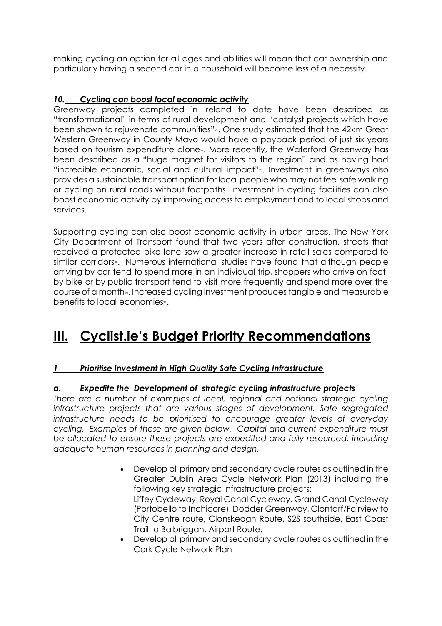making cycling an option for all ages and abilities will mean that car ownership and particularly having a second car in a household will become less of a necessity.

## *10. Cycling can boost local economic activity*

Greenway projects completed in Ireland to date have been described as "transformational" in terms of rural development and "catalyst projects which have been shown to rejuvenate communities"<sup>26</sup>. One study estimated that the 42km Great Western Greenway in County Mayo would have a payback period of just six years based on tourism expenditure alone<sub>2</sub>. More recently, the Waterford Greenway has been described as a "huge magnet for visitors to the region" and as having had "incredible economic, social and cultural impact"<sup>2</sup>. Investment in greenways also provides a sustainable transport option for local people who may not feel safe walking or cycling on rural roads without footpaths. Investment in cycling facilities can also boost economic activity by improving access to employment and to local shops and services.

Supporting cycling can also boost economic activity in urban areas. The New York City Department of Transport found that two years after construction, streets that received a protected bike lane saw a greater increase in retail sales compared to similar corridors». Numerous international studies have found that although people arriving by car tend to spend more in an individual trip, shoppers who arrive on foot, by bike or by public transport tend to visit more frequently and spend more over the course of a month». Increased cycling investment produces tangible and measurable benefits to local economies<sup>31</sup>.

# **III. Cyclist.ie's Budget Priority Recommendations**

## *1 Prioritise Investment in High Quality Safe Cycling Infrastructure*

## *a. Expedite the Development of strategic cycling infrastructure projects*

*There are a number of examples of local, regional and national strategic cycling infrastructure projects that are various stages of development. Safe segregated infrastructure needs to be prioritised to encourage greater levels of everyday cycling. Examples of these are given below. Capital and current expenditure must be allocated to ensure these projects are expedited and fully resourced, including adequate human resources in planning and design.*

- Develop all primary and secondary cycle routes as outlined in the Greater Dublin Area Cycle Network Plan (2013) including the following key strategic infrastructure projects: Liffey Cycleway, Royal Canal Cycleway, Grand Canal Cycleway (Portobello to Inchicore), Dodder Greenway, Clontarf/Fairview to City Centre route, Clonskeagh Route, S2S southside, East Coast Trail to Balbriggan, Airport Route.
- Develop all primary and secondary cycle routes as outlined in the Cork Cycle Network Plan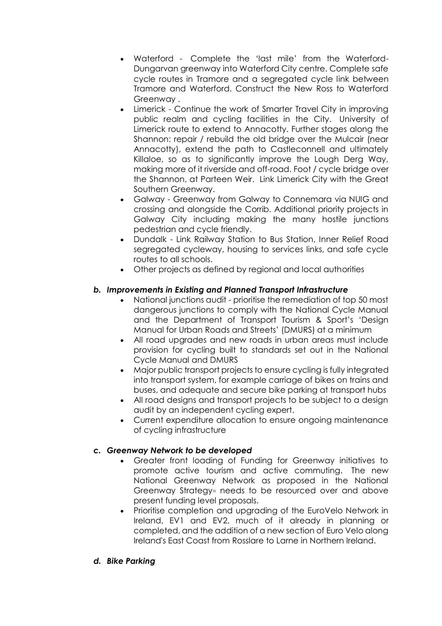- Waterford Complete the 'last mile' from the Waterford-Dungarvan greenway into Waterford City centre. Complete safe cycle routes in Tramore and a segregated cycle link between Tramore and Waterford. Construct the New Ross to Waterford Greenway .
- Limerick Continue the work of Smarter Travel City in improving public realm and cycling facilities in the City. University of Limerick route to extend to Annacotty. Further stages along the Shannon: repair / rebuild the old bridge over the Mulcair (near Annacotty), extend the path to Castleconnell and ultimately Killaloe, so as to significantly improve the Lough Derg Way, making more of it riverside and off-road. Foot / cycle bridge over the Shannon, at Parteen Weir. Link Limerick City with the Great Southern Greenway.
- Galway Greenway from Galway to Connemara via NUIG and crossing and alongside the Corrib. Additional priority projects in Galway City including making the many hostile junctions pedestrian and cycle friendly.
- Dundalk Link Railway Station to Bus Station, Inner Relief Road segregated cycleway, housing to services links, and safe cycle routes to all schools.
- Other projects as defined by regional and local authorities

#### *b. Improvements in Existing and Planned Transport Infrastructure*

- National junctions audit prioritise the remediation of top 50 most dangerous junctions to comply with the National Cycle Manual and the Department of Transport Tourism & Sport's 'Design Manual for Urban Roads and Streets' (DMURS) at a minimum
- All road upgrades and new roads in urban areas must include provision for cycling built to standards set out in the National Cycle Manual and DMURS
- Major public transport projects to ensure cycling is fully integrated into transport system, for example carriage of bikes on trains and buses, and adequate and secure bike parking at transport hubs
- All road designs and transport projects to be subject to a design audit by an independent cycling expert.
- Current expenditure allocation to ensure ongoing maintenance of cycling infrastructure

#### *c. Greenway Network to be developed*

- Greater front loading of Funding for Greenway initiatives to promote active tourism and active commuting. The new National Greenway Network as proposed in the National Greenway Strategy<sup>3</sup> needs to be resourced over and above present funding level proposals.
- Prioritise completion and upgrading of the EuroVelo Network in Ireland, EV1 and EV2, much of it already in planning or completed, and the addition of a new section of Euro Velo along Ireland's East Coast from Rosslare to Larne in Northern Ireland.
- *d. Bike Parking*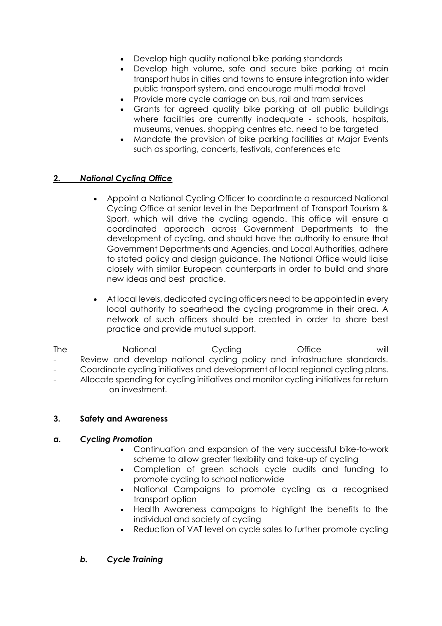- Develop high quality national bike parking standards
- Develop high volume, safe and secure bike parking at main transport hubs in cities and towns to ensure integration into wider public transport system, and encourage multi modal travel
- Provide more cycle carriage on bus, rail and tram services
- Grants for agreed quality bike parking at all public buildings where facilities are currently inadequate - schools, hospitals, museums, venues, shopping centres etc. need to be targeted
- Mandate the provision of bike parking facilities at Major Events such as sporting, concerts, festivals, conferences etc

#### **2.** *National Cycling Office*

- Appoint a National Cycling Officer to coordinate a resourced National Cycling Office at senior level in the Department of Transport Tourism & Sport, which will drive the cycling agenda. This office will ensure a coordinated approach across Government Departments to the development of cycling, and should have the authority to ensure that Government Departments and Agencies, and Local Authorities, adhere to stated policy and design guidance. The National Office would liaise closely with similar European counterparts in order to build and share new ideas and best practice.
- At local levels, dedicated cycling officers need to be appointed in every local authority to spearhead the cycling programme in their area. A network of such officers should be created in order to share best practice and provide mutual support.

The Mational Cycling Office will Review and develop national cycling policy and infrastructure standards. - Coordinate cycling initiatives and development of local regional cycling plans. Allocate spending for cycling initiatives and monitor cycling initiatives for return on investment.

#### **3. Safety and Awareness**

#### *a. Cycling Promotion*

- Continuation and expansion of the very successful bike-to-work scheme to allow greater flexibility and take-up of cycling
- Completion of green schools cycle audits and funding to promote cycling to school nationwide
- National Campaigns to promote cycling as a recognised transport option
- Health Awareness campaigns to highlight the benefits to the individual and society of cycling
- Reduction of VAT level on cycle sales to further promote cycling

#### *b. Cycle Training*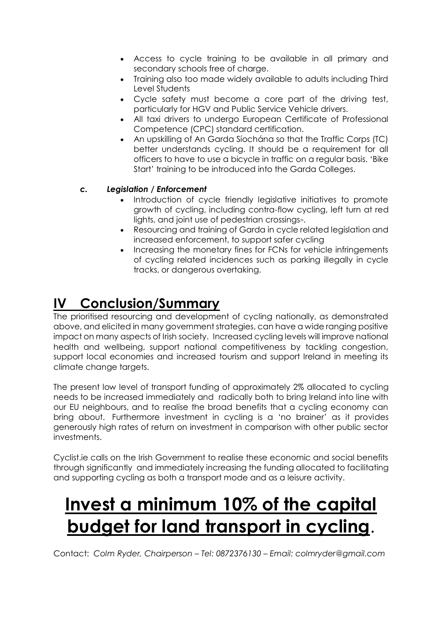- Access to cycle training to be available in all primary and secondary schools free of charge.
- Training also too made widely available to adults including Third Level Students
- Cycle safety must become a core part of the driving test, particularly for HGV and Public Service Vehicle drivers.
- All taxi drivers to undergo European Certificate of Professional Competence (CPC) standard certification.
- An upskilling of An Garda Síochána so that the Traffic Corps (TC) better understands cycling. It should be a requirement for all officers to have to use a bicycle in traffic on a regular basis. 'Bike Start' training to be introduced into the Garda Colleges.

## *c. Legislation / Enforcement*

- Introduction of cycle friendly legislative initiatives to promote growth of cycling, including contra-flow cycling, left turn at red lights, and joint use of pedestrian crossings<sup>33</sup>.
- Resourcing and training of Garda in cycle related legislation and increased enforcement, to support safer cycling
- Increasing the monetary fines for FCNs for vehicle infringements of cycling related incidences such as parking illegally in cycle tracks, or dangerous overtaking.

# **IV Conclusion/Summary**

The prioritised resourcing and development of cycling nationally, as demonstrated above, and elicited in many government strategies, can have a wide ranging positive impact on many aspects of Irish society. Increased cycling levels will improve national health and wellbeing, support national competitiveness by tackling congestion, support local economies and increased tourism and support Ireland in meeting its climate change targets.

The present low level of transport funding of approximately 2% allocated to cycling needs to be increased immediately and radically both to bring Ireland into line with our EU neighbours, and to realise the broad benefits that a cycling economy can bring about. Furthermore investment in cycling is a 'no brainer' as it provides generously high rates of return on investment in comparison with other public sector investments.

Cyclist.ie calls on the Irish Government to realise these economic and social benefits through significantly and immediately increasing the funding allocated to facilitating and supporting cycling as both a transport mode and as a leisure activity.

# **Invest a minimum 10% of the capital budget for land transport in cycling**.

Contact: *Colm Ryder, Chairperson – Tel: 0872376130 – Email: colmryder@gmail.com*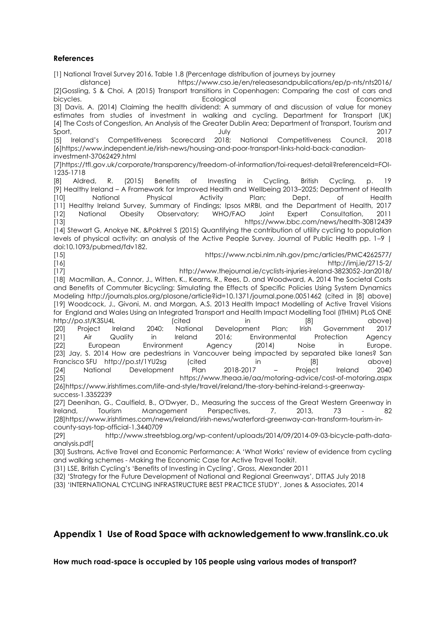#### **References**

[1] National Travel Survey 2016, Table 1.8 (Percentage distribution of journeys by journey distance) https://www.cso.ie/en/releasesandpublications/ep/p-nts/nts2016/ [2]Gossling, S & Choi, A (2015) Transport transitions in Copenhagen: Comparing the cost of cars and bicycles. **Example 2018** Ecological Ecological Economics experiences and the experience of the experience of the experience of the experience of the experience of the experience of the experience of the experience of the e [3] Davis, A. (2014) Claiming the health dividend: A summary of and discussion of value for money estimates from studies of investment in walking and cycling. Department for Transport (UK) [4] The Costs of Congestion, An Analysis of the Greater Dublin Area; Department of Transport, Tourism and Sport, July 2017 [5] Ireland's Competitiveness Scorecard 2018; National Competitiveness Council, 2018 [6]https://www.independent.ie/irish-news/housing-and-poor-transport-links-hold-back-canadianinvestment-37062429.html [7]https://tfl.gov.uk/corporate/transparency/freedom-of-information/foi-request-detail?referenceId=FOI-1235-1718 [8] Aldred, R. (2015) Benefits of Investing in Cycling, British Cycling, p. 19 [9] Healthy Ireland – A Framework for Improved Health and Wellbeing 2013–2025; Department of Health [10] National Physical Activity Plan; Dept. of Health [11] Healthy Ireland Survey, Summary of Findings; Ipsos MRBI, and the Department of Health, 2017 [12] National Obesity Observatory; WHO/FAO Joint Expert Consultation, 2011 [13] https://www.bbc.com/news/health-30812439 [14] Stewart G, Anokye NK, &Pokhrel S (2015) Quantifying the contribution of utility cycling to population levels of physical activity: an analysis of the Active People Survey. Journal of Public Health pp. 1–9 | doi:10.1093/pubmed/fdv182. [15] https://www.ncbi.nlm.nih.gov/pmc/articles/PMC4262577/ [16] http://imj.ie/2715-2/ [17] http://www.thejournal.ie/cyclists-injuries-ireland-3823052-Jan2018/ [18] Macmillan, A., Connor, J., Witten, K., Kearns, R., Rees, D. and Woodward, A. 2014 The Societal Costs and Benefits of Commuter Bicycling: Simulating the Effects of Specific Policies Using System Dynamics Modeling http://journals.plos.org/plosone/article?id=10.1371/journal.pone.0051462 (cited in [8] above) [19] Woodcock, J., Givoni, M. and Morgan, A.S. 2013 Health Impact Modelling of Active Travel Visions for England and Wales Using an Integrated Transport and Health Impact Modelling Tool (ITHIM) PLoS ONE http://po.st/K3SU4L (cited in [8] above) [20] Project Ireland 2040: National Development Plan; Irish Government 2017 [21] Air Quality in Ireland 2016; Environmental Protection Agency [22] European Environment Agency (2014) Noise in Europe. [23] Jay, S. 2014 How are pedestrians in Vancouver being impacted by separated bike lanes? San Francisco SFU http://po.st/1YU2sg (cited in [8] above) [24] National Development Plan 2018-2017 – Project Ireland 2040 [25] https://www.theaa.ie/aa/motoring-advice/cost-of-motoring.aspx [26]https://www.irishtimes.com/life-and-style/travel/ireland/the-story-behind-ireland-s-greenwaysuccess-1.3352239 [27] Deenihan, G., Caulfield, B., O'Dwyer, D., Measuring the success of the Great Western Greenway in Ireland, Tourism Management Perspectives, 7, 2013, 73 - 82 [28]https://www.irishtimes.com/news/ireland/irish-news/waterford-greenway-can-transform-tourism-incounty-says-top-official-1.3440709 [29] http://www.streetsblog.org/wp-content/uploads/2014/09/2014-09-03-bicycle-path-dataanalysis.pdf[ [30] Sustrans, Active Travel and Economic Performance: A 'What Works' review of evidence from cycling and walking schemes - Making the Economic Case for Active Travel Toolkit.

(31) LSE, British Cycling's 'Benefits of Investing in Cycling', Gross, Alexander 2011

(32) 'Strategy for the Future Development of National and Regional Greenways', DTTAS July 2018

(33) 'INTERNATIONAL CYCLING INFRASTRUCTURE BEST PRACTICE STUDY', Jones & Associates, 2014

#### **Appendix 1 Use of Road Space with acknowledgement to www.translink.co.uk**

**How much road-space is occupied by 105 people using various modes of transport?**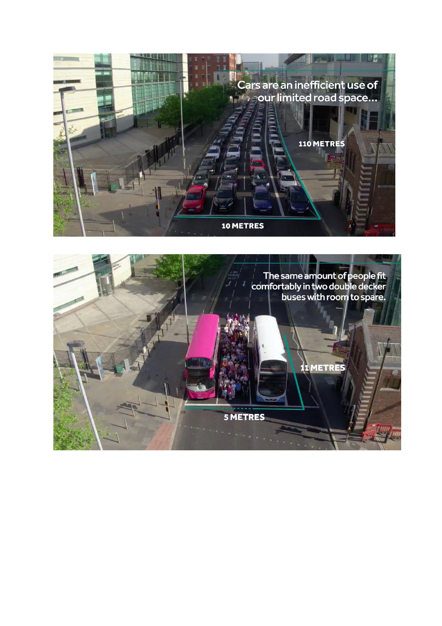